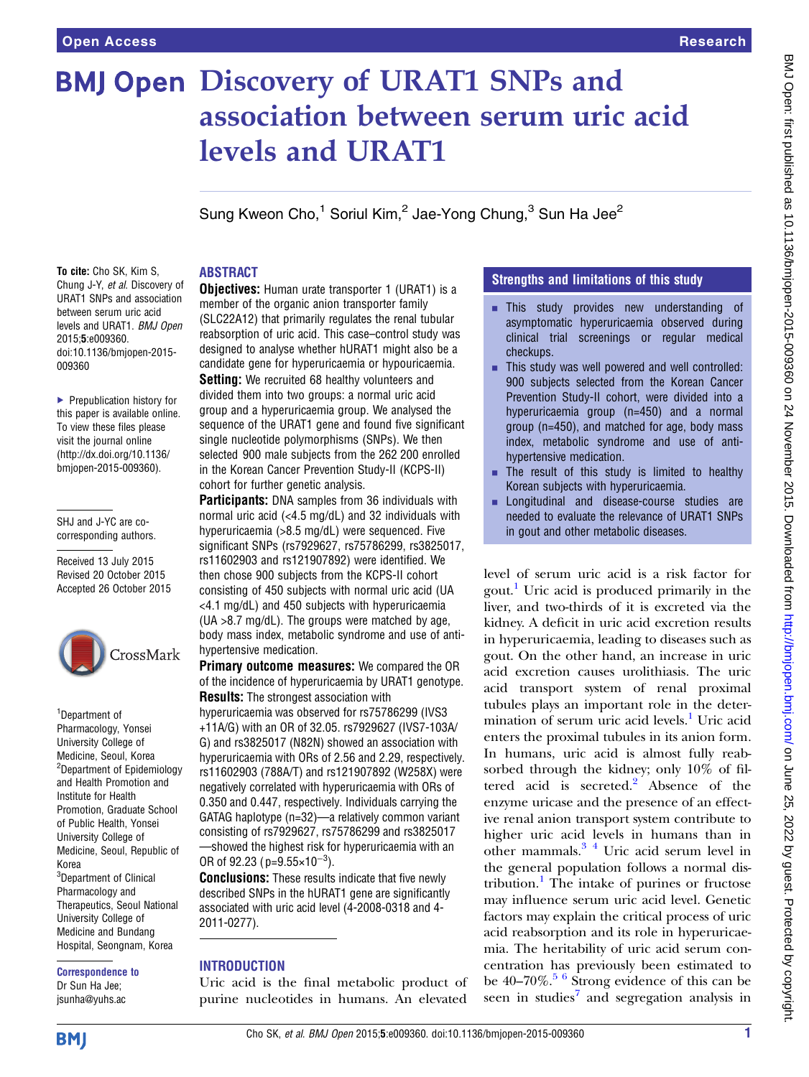# **BMJ Open Discovery of URAT1 SNPs and** association between serum uric acid levels and URAT1

Sung Kweon Cho, $1$  Soriul Kim, $2$  Jae-Yong Chung,  $3$  Sun Ha Jee $2$ 

# ABSTRACT

To cite: Cho SK, Kim S, Chung J-Y, et al. Discovery of URAT1 SNPs and association between serum uric acid levels and URAT1. BMJ Open 2015;5:e009360. doi:10.1136/bmjopen-2015- 009360

▶ Prepublication history for this paper is available online. To view these files please visit the journal online [\(http://dx.doi.org/10.1136/](http://dx.doi.org/10.1136/bmjopen-2015-009360) [bmjopen-2015-009360](http://dx.doi.org/10.1136/bmjopen-2015-009360)).

#### SHJ and J-YC are cocorresponding authors.

Received 13 July 2015 Revised 20 October 2015 Accepted 26 October 2015



1 Department of Pharmacology, Yonsei University College of Medicine, Seoul, Korea <sup>2</sup>Department of Epidemiology and Health Promotion and Institute for Health Promotion, Graduate School of Public Health, Yonsei University College of Medicine, Seoul, Republic of Korea <sup>3</sup>Department of Clinical Pharmacology and Therapeutics, Seoul National University College of Medicine and Bundang Hospital, Seongnam, Korea

Correspondence to Dr Sun Ha Jee; jsunha@yuhs.ac

**Objectives:** Human urate transporter 1 (URAT1) is a member of the organic anion transporter family (SLC22A12) that primarily regulates the renal tubular reabsorption of uric acid. This case–control study was designed to analyse whether hURAT1 might also be a candidate gene for hyperuricaemia or hypouricaemia.

**Setting:** We recruited 68 healthy volunteers and divided them into two groups: a normal uric acid group and a hyperuricaemia group. We analysed the sequence of the URAT1 gene and found five significant single nucleotide polymorphisms (SNPs). We then selected 900 male subjects from the 262 200 enrolled in the Korean Cancer Prevention Study-II (KCPS-II) cohort for further genetic analysis.

**Participants:** DNA samples from 36 individuals with normal uric acid (<4.5 mg/dL) and 32 individuals with hyperuricaemia (>8.5 mg/dL) were sequenced. Five significant SNPs (rs7929627, rs75786299, rs3825017, rs11602903 and rs121907892) were identified. We then chose 900 subjects from the KCPS-II cohort consisting of 450 subjects with normal uric acid (UA <4.1 mg/dL) and 450 subjects with hyperuricaemia (UA >8.7 mg/dL). The groups were matched by age, body mass index, metabolic syndrome and use of antihypertensive medication.

Primary outcome measures: We compared the OR of the incidence of hyperuricaemia by URAT1 genotype. **Results:** The strongest association with

hyperuricaemia was observed for rs75786299 (IVS3 +11A/G) with an OR of 32.05. rs7929627 (IVS7-103A/ G) and rs3825017 (N82N) showed an association with hyperuricaemia with ORs of 2.56 and 2.29, respectively. rs11602903 (788A/T) and rs121907892 (W258X) were negatively correlated with hyperuricaemia with ORs of 0.350 and 0.447, respectively. Individuals carrying the GATAG haplotype (n=32)—a relatively common variant consisting of rs7929627, rs75786299 and rs3825017 —showed the highest risk for hyperuricaemia with an OR of 92.23 ( $p=9.55\times10^{-3}$ ).

**Conclusions:** These results indicate that five newly described SNPs in the hURAT1 gene are significantly associated with uric acid level (4-2008-0318 and 4- 2011-0277).

## **INTRODUCTION**

Uric acid is the final metabolic product of purine nucleotides in humans. An elevated

## Strengths and limitations of this study

- **EXECUTE:** This study provides new understanding of asymptomatic hyperuricaemia observed during clinical trial screenings or regular medical checkups.
- $\blacksquare$  This study was well powered and well controlled: 900 subjects selected from the Korean Cancer Prevention Study-II cohort, were divided into a hyperuricaemia group (n=450) and a normal group (n=450), and matched for age, body mass index, metabolic syndrome and use of antihypertensive medication.
- $\blacksquare$  The result of this study is limited to healthy Korean subjects with hyperuricaemia.
- **EXECUTE:** Longitudinal and disease-course studies are needed to evaluate the relevance of URAT1 SNPs in gout and other metabolic diseases.

level of serum uric acid is a risk factor for gout.[1](#page-6-0) Uric acid is produced primarily in the liver, and two-thirds of it is excreted via the kidney. A deficit in uric acid excretion results in hyperuricaemia, leading to diseases such as gout. On the other hand, an increase in uric acid excretion causes urolithiasis. The uric acid transport system of renal proximal tubules plays an important role in the deter-mination of serum uric acid levels.<sup>[1](#page-6-0)</sup> Uric acid enters the proximal tubules in its anion form. In humans, uric acid is almost fully reabsorbed through the kidney; only 10% of fil-tered acid is secreted.<sup>[2](#page-6-0)</sup> Absence of the enzyme uricase and the presence of an effective renal anion transport system contribute to higher uric acid levels in humans than in other mammals.[3 4](#page-6-0) Uric acid serum level in the general population follows a normal dis-tribution.<sup>[1](#page-6-0)</sup> The intake of purines or fructose may influence serum uric acid level. Genetic factors may explain the critical process of uric acid reabsorption and its role in hyperuricaemia. The heritability of uric acid serum concentration has previously been estimated to be  $40-70\%$ .<sup>[5 6](#page-6-0)</sup> Strong evidence of this can be seen in studies<sup>[7](#page-6-0)</sup> and segregation analysis in

**BMJ**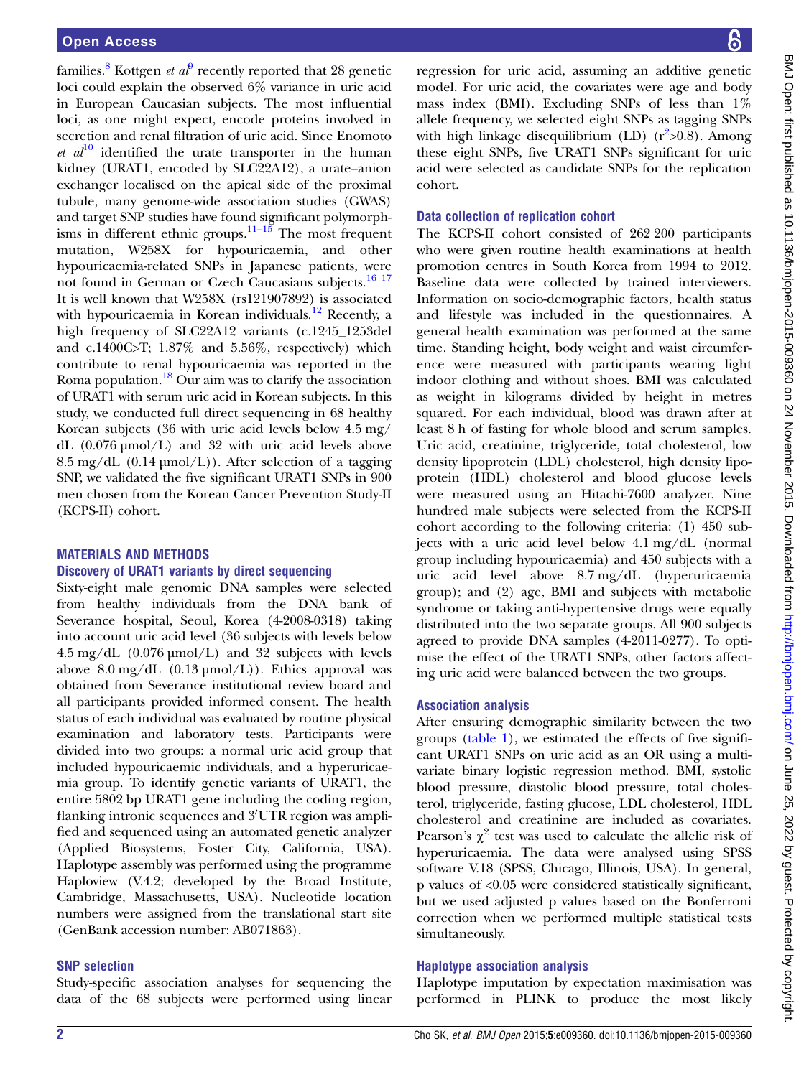families.<sup>[8](#page-6-0)</sup> Kottgen *et al*<sup>[9](#page-6-0)</sup> recently reported that 28 genetic loci could explain the observed 6% variance in uric acid in European Caucasian subjects. The most influential loci, as one might expect, encode proteins involved in secretion and renal filtration of uric acid. Since Enomoto et  $al^{10}$  $al^{10}$  $al^{10}$  identified the urate transporter in the human kidney (URAT1, encoded by SLC22A12), a urate–anion exchanger localised on the apical side of the proximal tubule, many genome-wide association studies (GWAS) and target SNP studies have found significant polymorph-isms in different ethnic groups.<sup>[11](#page-6-0)–15</sup> The most frequent mutation, W258X for hypouricaemia, and other hypouricaemia-related SNPs in Japanese patients, were not found in German or Czech Caucasians subjects.[16 17](#page-6-0) It is well known that W258X (rs121907892) is associated with hypouricaemia in Korean individuals.<sup>[12](#page-6-0)</sup> Recently, a high frequency of SLC22A12 variants (c.1245\_1253del and c.1400C>T; 1.87% and 5.56%, respectively) which contribute to renal hypouricaemia was reported in the Roma population. $^{18}$  $^{18}$  $^{18}$  Our aim was to clarify the association of URAT1 with serum uric acid in Korean subjects. In this study, we conducted full direct sequencing in 68 healthy Korean subjects (36 with uric acid levels below 4.5 mg/ dL (0.076 µmol/L) and 32 with uric acid levels above  $8.5 \text{ mg/dL}$  (0.14 µmol/L)). After selection of a tagging SNP, we validated the five significant URAT1 SNPs in 900 men chosen from the Korean Cancer Prevention Study-II (KCPS-II) cohort.

#### MATERIALS AND METHODS Discovery of URAT1 variants by direct sequencing

Sixty-eight male genomic DNA samples were selected from healthy individuals from the DNA bank of Severance hospital, Seoul, Korea (4-2008-0318) taking into account uric acid level (36 subjects with levels below  $4.5 \text{ mg/dL}$  (0.076 µmol/L) and 32 subjects with levels above  $8.0 \text{ mg/dL}$  (0.13  $\mu$ mol/L)). Ethics approval was obtained from Severance institutional review board and all participants provided informed consent. The health status of each individual was evaluated by routine physical examination and laboratory tests. Participants were divided into two groups: a normal uric acid group that included hypouricaemic individuals, and a hyperuricaemia group. To identify genetic variants of URAT1, the entire 5802 bp URAT1 gene including the coding region, flanking intronic sequences and 3'UTR region was amplified and sequenced using an automated genetic analyzer (Applied Biosystems, Foster City, California, USA). Haplotype assembly was performed using the programme Haploview (V.4.2; developed by the Broad Institute, Cambridge, Massachusetts, USA). Nucleotide location numbers were assigned from the translational start site (GenBank accession number: AB071863).

## SNP selection

Study-specific association analyses for sequencing the data of the 68 subjects were performed using linear

regression for uric acid, assuming an additive genetic model. For uric acid, the covariates were age and body mass index (BMI). Excluding SNPs of less than 1% allele frequency, we selected eight SNPs as tagging SNPs with high linkage disequilibrium (LD) (r<sup>[2](#page-6-0)</sup>>0.8). Among these eight SNPs, five URAT1 SNPs significant for uric acid were selected as candidate SNPs for the replication cohort.

#### Data collection of replication cohort

The KCPS-II cohort consisted of 262 200 participants who were given routine health examinations at health promotion centres in South Korea from 1994 to 2012. Baseline data were collected by trained interviewers. Information on socio-demographic factors, health status and lifestyle was included in the questionnaires. A general health examination was performed at the same time. Standing height, body weight and waist circumference were measured with participants wearing light indoor clothing and without shoes. BMI was calculated as weight in kilograms divided by height in metres squared. For each individual, blood was drawn after at least 8 h of fasting for whole blood and serum samples. Uric acid, creatinine, triglyceride, total cholesterol, low density lipoprotein (LDL) cholesterol, high density lipoprotein (HDL) cholesterol and blood glucose levels were measured using an Hitachi-7600 analyzer. Nine hundred male subjects were selected from the KCPS-II cohort according to the following criteria: (1) 450 subjects with a uric acid level below 4.1 mg/dL (normal group including hypouricaemia) and 450 subjects with a uric acid level above 8.7 mg/dL (hyperuricaemia group); and (2) age, BMI and subjects with metabolic syndrome or taking anti-hypertensive drugs were equally distributed into the two separate groups. All 900 subjects agreed to provide DNA samples (4-2011-0277). To optimise the effect of the URAT1 SNPs, other factors affecting uric acid were balanced between the two groups.

#### Association analysis

After ensuring demographic similarity between the two groups [\(table 1](#page-2-0)), we estimated the effects of five significant URAT1 SNPs on uric acid as an OR using a multivariate binary logistic regression method. BMI, systolic blood pressure, diastolic blood pressure, total cholesterol, triglyceride, fasting glucose, LDL cholesterol, HDL cholesterol and creatinine are included as covariates. Pearson's  $\chi^2$  test was used to calculate the allelic risk of hyperuricaemia. The data were analysed using SPSS software V.18 (SPSS, Chicago, Illinois, USA). In general, p values of <0.05 were considered statistically significant, but we used adjusted p values based on the Bonferroni correction when we performed multiple statistical tests simultaneously.

## Haplotype association analysis

Haplotype imputation by expectation maximisation was performed in PLINK to produce the most likely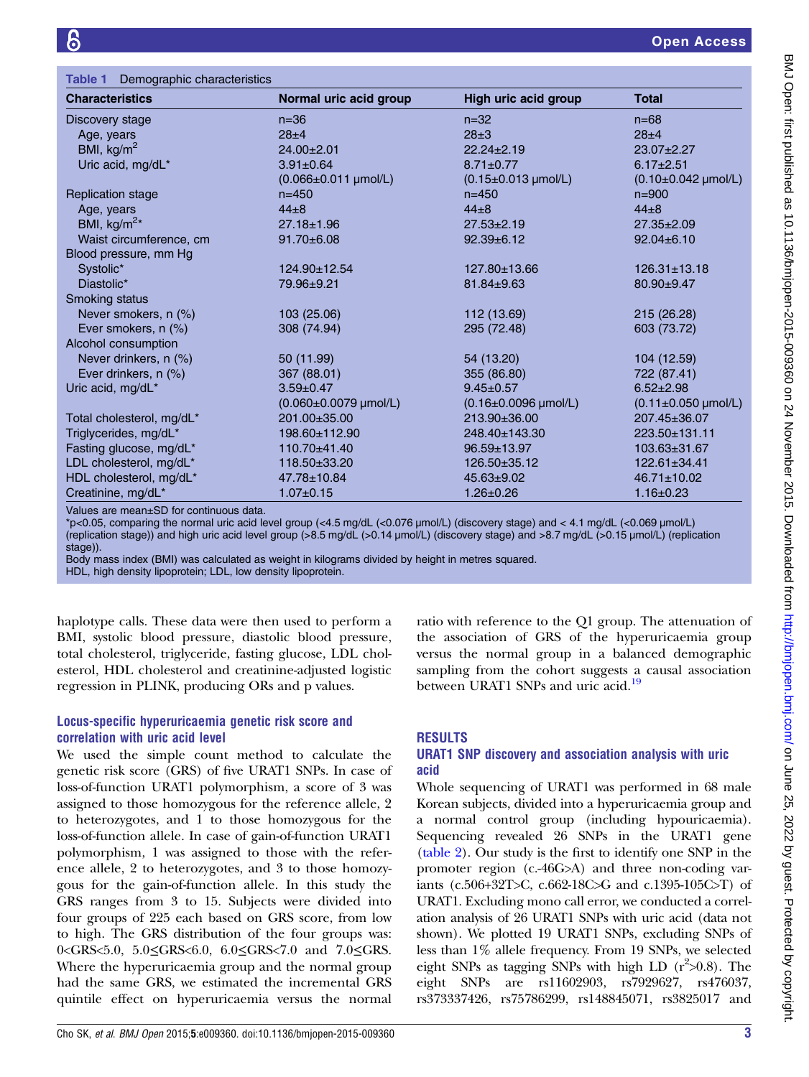<span id="page-2-0"></span>

| Table 1 Demographic characteristics |                               |                               |                              |  |  |  |
|-------------------------------------|-------------------------------|-------------------------------|------------------------------|--|--|--|
| <b>Characteristics</b>              | Normal uric acid group        | High uric acid group          | <b>Total</b>                 |  |  |  |
| Discovery stage                     | $n=36$                        | $n = 32$                      | $n = 68$                     |  |  |  |
| Age, years                          | $28 + 4$                      | $28 + 3$                      | $28 + 4$                     |  |  |  |
| BMI, $kg/m2$                        | $24.00 \pm 2.01$              | $22.24 \pm 2.19$              | 23.07±2.27                   |  |  |  |
| Uric acid, mg/dL*                   | $3.91 \pm 0.64$               | $8.71 \pm 0.77$               | $6.17 \pm 2.51$              |  |  |  |
|                                     | $(0.066 \pm 0.011 \mu mol/L)$ | $(0.15 \pm 0.013 \mu mol/L)$  | $(0.10 \pm 0.042 \mu mol/L)$ |  |  |  |
| <b>Replication stage</b>            | $n = 450$                     | $n = 450$                     | $n = 900$                    |  |  |  |
| Age, years                          | $44 + 8$                      | $44\pm8$                      | $44\pm8$                     |  |  |  |
| BMI, kg/m <sup>2*</sup>             | $27.18 \pm 1.96$              | $27.53 \pm 2.19$              | $27.35 \pm 2.09$             |  |  |  |
| Waist circumference, cm             | $91.70 \pm 6.08$              | $92.39 \pm 6.12$              | $92.04 \pm 6.10$             |  |  |  |
| Blood pressure, mm Hg               |                               |                               |                              |  |  |  |
| Systolic*                           | 124.90±12.54                  | 127.80±13.66                  | $126.31 \pm 13.18$           |  |  |  |
| Diastolic*                          | 79.96±9.21                    | $81.84 \pm 9.63$              | $80.90 \pm 9.47$             |  |  |  |
| Smoking status                      |                               |                               |                              |  |  |  |
| Never smokers, n (%)                | 103 (25.06)                   | 112 (13.69)                   | 215 (26.28)                  |  |  |  |
| Ever smokers, n (%)                 | 308 (74.94)                   | 295 (72.48)                   | 603 (73.72)                  |  |  |  |
| Alcohol consumption                 |                               |                               |                              |  |  |  |
| Never drinkers, n (%)               | 50 (11.99)                    | 54 (13.20)                    | 104 (12.59)                  |  |  |  |
| Ever drinkers, n (%)                | 367 (88.01)                   | 355 (86.80)                   | 722 (87.41)                  |  |  |  |
| Uric acid, mg/dL*                   | $3.59 \pm 0.47$               | $9.45 \pm 0.57$               | $6.52 \pm 2.98$              |  |  |  |
|                                     | (0.060±0.0079 µmol/L)         | $(0.16 \pm 0.0096 \mu mol/L)$ | $(0.11 \pm 0.050 \mu mol/L)$ |  |  |  |
| Total cholesterol, mg/dL*           | 201.00±35.00                  | 213.90±36.00                  | 207.45±36.07                 |  |  |  |
| Triglycerides, mg/dL*               | 198.60±112.90                 | 248.40±143.30                 | 223.50±131.11                |  |  |  |
| Fasting glucose, mg/dL*             | 110.70±41.40                  | 96.59±13.97                   | 103.63±31.67                 |  |  |  |
| LDL cholesterol, mg/dL*             | 118.50±33.20                  | 126.50±35.12                  | $122.61 \pm 34.41$           |  |  |  |
| HDL cholesterol, mg/dL*             | 47.78±10.84                   | $45.63 \pm 9.02$              | $46.71 \pm 10.02$            |  |  |  |
| Creatinine, mg/dL*                  | $1.07 \pm 0.15$               | $1.26 \pm 0.26$               | $1.16 \pm 0.23$              |  |  |  |

Values are mean±SD for continuous data.

\*p<0.05, comparing the normal uric acid level group (<4.5 mg/dL (<0.076 µmol/L) (discovery stage) and < 4.1 mg/dL (<0.069 µmol/L) (replication stage)) and high uric acid level group (>8.5 mg/dL (>0.14 µmol/L) (discovery stage) and >8.7 mg/dL (>0.15 µmol/L) (replication stage)).

Body mass index (BMI) was calculated as weight in kilograms divided by height in metres squared.

HDL, high density lipoprotein; LDL, low density lipoprotein.

haplotype calls. These data were then used to perform a BMI, systolic blood pressure, diastolic blood pressure, total cholesterol, triglyceride, fasting glucose, LDL cholesterol, HDL cholesterol and creatinine-adjusted logistic regression in PLINK, producing ORs and p values.

#### Locus-specific hyperuricaemia genetic risk score and correlation with uric acid level

We used the simple count method to calculate the genetic risk score (GRS) of five URAT1 SNPs. In case of loss-of-function URAT1 polymorphism, a score of 3 was assigned to those homozygous for the reference allele, 2 to heterozygotes, and 1 to those homozygous for the loss-of-function allele. In case of gain-of-function URAT1 polymorphism, 1 was assigned to those with the reference allele, 2 to heterozygotes, and 3 to those homozygous for the gain-of-function allele. In this study the GRS ranges from 3 to 15. Subjects were divided into four groups of 225 each based on GRS score, from low to high. The GRS distribution of the four groups was: 0<GRS<5.0, 5.0≤GRS<6.0, 6.0≤GRS<7.0 and 7.0≤GRS. Where the hyperuricaemia group and the normal group had the same GRS, we estimated the incremental GRS quintile effect on hyperuricaemia versus the normal

# RESULTS

# URAT1 SNP discovery and association analysis with uric acid

between URAT1 SNPs and uric acid.<sup>[19](#page-6-0)</sup>

ratio with reference to the Q1 group. The attenuation of the association of GRS of the hyperuricaemia group versus the normal group in a balanced demographic sampling from the cohort suggests a causal association

Whole sequencing of URAT1 was performed in 68 male Korean subjects, divided into a hyperuricaemia group and a normal control group (including hypouricaemia). Sequencing revealed 26 SNPs in the URAT1 gene [\(table 2](#page-3-0)). Our study is the first to identify one SNP in the promoter region (c.-46G>A) and three non-coding variants (c.506+32T>C, c.662-18C>G and c.1395-105C>T) of URAT1. Excluding mono call error, we conducted a correlation analysis of 26 URAT1 SNPs with uric acid (data not shown). We plotted 19 URAT1 SNPs, excluding SNPs of less than 1% allele frequency. From 19 SNPs, we selected eight SNPs as tagging SNPs with high LD  $(r^2>0.8)$ . The eight SNPs are rs11602903, rs7929627, rs476037, rs373337426, rs75786299, rs148845071, rs3825017 and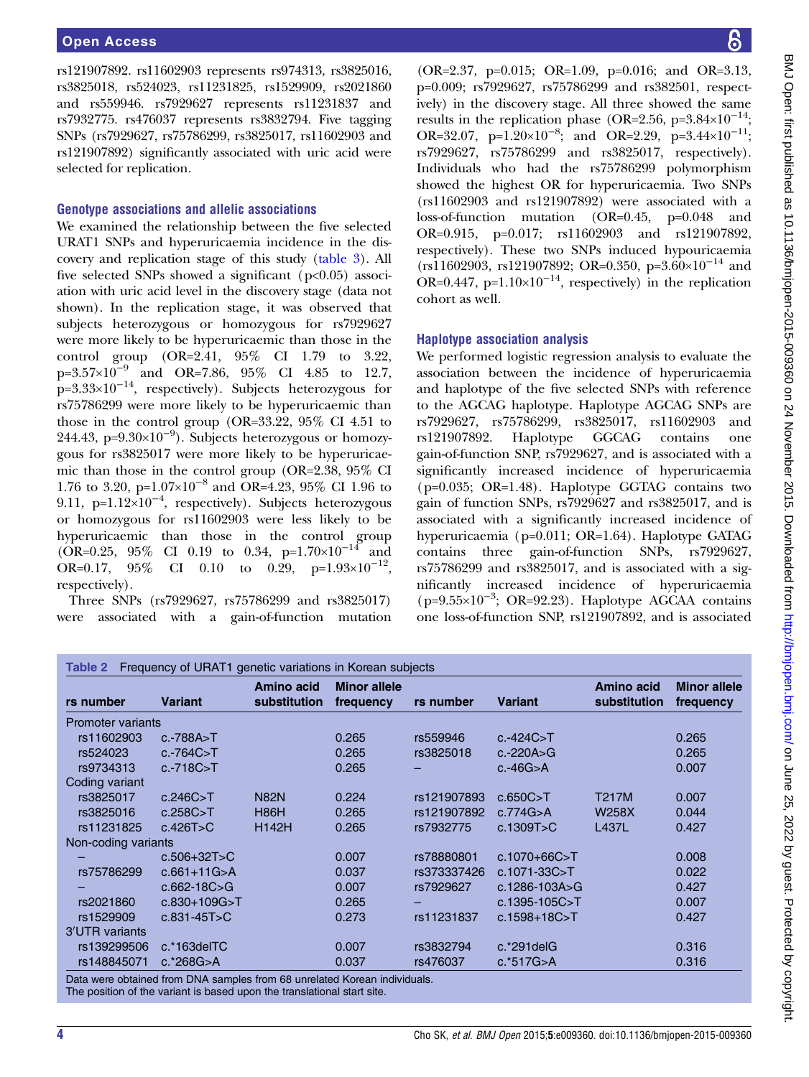<span id="page-3-0"></span>rs121907892. rs11602903 represents rs974313, rs3825016, rs3825018, rs524023, rs11231825, rs1529909, rs2021860 and rs559946. rs7929627 represents rs11231837 and rs7932775. rs476037 represents rs3832794. Five tagging SNPs (rs7929627, rs75786299, rs3825017, rs11602903 and rs121907892) significantly associated with uric acid were selected for replication.

#### Genotype associations and allelic associations

We examined the relationship between the five selected URAT1 SNPs and hyperuricaemia incidence in the discovery and replication stage of this study [\(table 3](#page-4-0)). All five selected SNPs showed a significant ( $p<0.05$ ) association with uric acid level in the discovery stage (data not shown). In the replication stage, it was observed that subjects heterozygous or homozygous for rs7929627 were more likely to be hyperuricaemic than those in the control group (OR=2.41, 95% CI 1.79 to 3.22, p=3.57×10−<sup>9</sup> and OR=7.86, 95% CI 4.85 to 12.7,  $p=3.33\times10^{-14}$ , respectively). Subjects heterozygous for rs75786299 were more likely to be hyperuricaemic than those in the control group (OR=33.22, 95% CI 4.51 to 244.43, p=9.30×10<sup>-9</sup>). Subjects heterozygous or homozygous for rs3825017 were more likely to be hyperuricaemic than those in the control group (OR=2.38, 95% CI 1.76 to 3.20, p=1.07×10−<sup>8</sup> and OR=4.23, 95% CI 1.96 to 9.11, p=1.12×10<sup>-4</sup>, respectively). Subjects heterozygous or homozygous for rs11602903 were less likely to be hyperuricaemic than those in the control group  $(OR=0.25, 95\% \text{ CI } 0.19 \text{ to } 0.34, \text{ p=1.70} \times 10^{-14} \text{ and }$ OR=0.17, 95% CI 0.10 to 0.29, p=1.93×10<sup>-12</sup>, respectively).

Three SNPs (rs7929627, rs75786299 and rs3825017) were associated with a gain-of-function mutation

(OR=2.37, p=0.015; OR=1.09, p=0.016; and OR=3.13, p=0.009; rs7929627, rs75786299 and rs382501, respectively) in the discovery stage. All three showed the same results in the replication phase (OR=2.56, p=3.84×10<sup>-14</sup>; OR=32.07, p=1.20×10<sup>-8</sup>; and OR=2.29, p=3.44×10<sup>-11</sup>; rs7929627, rs75786299 and rs3825017, respectively). Individuals who had the rs75786299 polymorphism showed the highest OR for hyperuricaemia. Two SNPs (rs11602903 and rs121907892) were associated with a loss-of-function mutation (OR=0.45, p=0.048 and OR=0.915, p=0.017; rs11602903 and rs121907892, respectively). These two SNPs induced hypouricaemia  $(rs11602903, rs121907892; OR=0.350, p=3.60\times10^{-14}$  and OR=0.447, p=1.10×10<sup>-14</sup>, respectively) in the replication cohort as well.

#### Haplotype association analysis

We performed logistic regression analysis to evaluate the association between the incidence of hyperuricaemia and haplotype of the five selected SNPs with reference to the AGCAG haplotype. Haplotype AGCAG SNPs are rs7929627, rs75786299, rs3825017, rs11602903 and rs121907892. Haplotype GGCAG contains one gain-of-function SNP, rs7929627, and is associated with a significantly increased incidence of hyperuricaemia (p=0.035; OR=1.48). Haplotype GGTAG contains two gain of function SNPs, rs7929627 and rs3825017, and is associated with a significantly increased incidence of hyperuricaemia (p=0.011; OR=1.64). Haplotype GATAG contains three gain-of-function SNPs, rs7929627, rs75786299 and rs3825017, and is associated with a significantly increased incidence of hyperuricaemia (p=9.55×10−<sup>3</sup> ; OR=92.23). Haplotype AGCAA contains one loss-of-function SNP, rs121907892, and is associated

|                          |                   | Amino acid   | <b>Minor allele</b> |             |                     | <b>Amino acid</b> | <b>Minor allele</b> |
|--------------------------|-------------------|--------------|---------------------|-------------|---------------------|-------------------|---------------------|
| rs number                | <b>Variant</b>    | substitution | frequency           | rs number   | <b>Variant</b>      | substitution      | frequency           |
| <b>Promoter variants</b> |                   |              |                     |             |                     |                   |                     |
| rs11602903               | $c.-788A > T$     |              | 0.265               | rs559946    | $c.-424C > T$       |                   | 0.265               |
| rs524023                 | $c.-764C > T$     |              | 0.265               | rs3825018   | $c.-220A>G$         |                   | 0.265               |
| rs9734313                | $c.-718C>T$       |              | 0.265               |             | $c.-46G>A$          |                   | 0.007               |
| Coding variant           |                   |              |                     |             |                     |                   |                     |
| rs3825017                | c.246C > T        | <b>N82N</b>  | 0.224               | rs121907893 | c.650C > T          | <b>T217M</b>      | 0.007               |
| rs3825016                | c.258C > T        | H86H         | 0.265               | rs121907892 | c.774G > A          | W258X             | 0.044               |
| rs11231825               | c.426T>C          | <b>H142H</b> | 0.265               | rs7932775   | c.1309T>C           | <b>L437L</b>      | 0.427               |
| Non-coding variants      |                   |              |                     |             |                     |                   |                     |
|                          | $c.506 + 32T > C$ |              | 0.007               | rs78880801  | $c.1070 + 66C > T$  |                   | 0.008               |
| rs75786299               | $c.661+11G > A$   |              | 0.037               | rs373337426 | $c.1071 - 33C > T$  |                   | 0.022               |
|                          | $c.662 - 18C > G$ |              | 0.007               | rs7929627   | $c.1286 - 103A > G$ |                   | 0.427               |
| rs2021860                | $c.830+109G > T$  |              | 0.265               |             | $c.1395 - 105C > T$ |                   | 0.007               |
| rs1529909                | $c.831 - 45T > C$ |              | 0.273               | rs11231837  | $c.1598 + 18C > T$  |                   | 0.427               |
| 3'UTR variants           |                   |              |                     |             |                     |                   |                     |
| rs139299506              | $c.*163$ del $TC$ |              | 0.007               | rs3832794   | $c.*291$ del $G$    |                   | 0.316               |
| rs148845071              | $c.*268G > A$     |              | 0.037               | rs476037    | $c.*517G > A$       |                   | 0.316               |

The position of the variant is based upon the translational start site.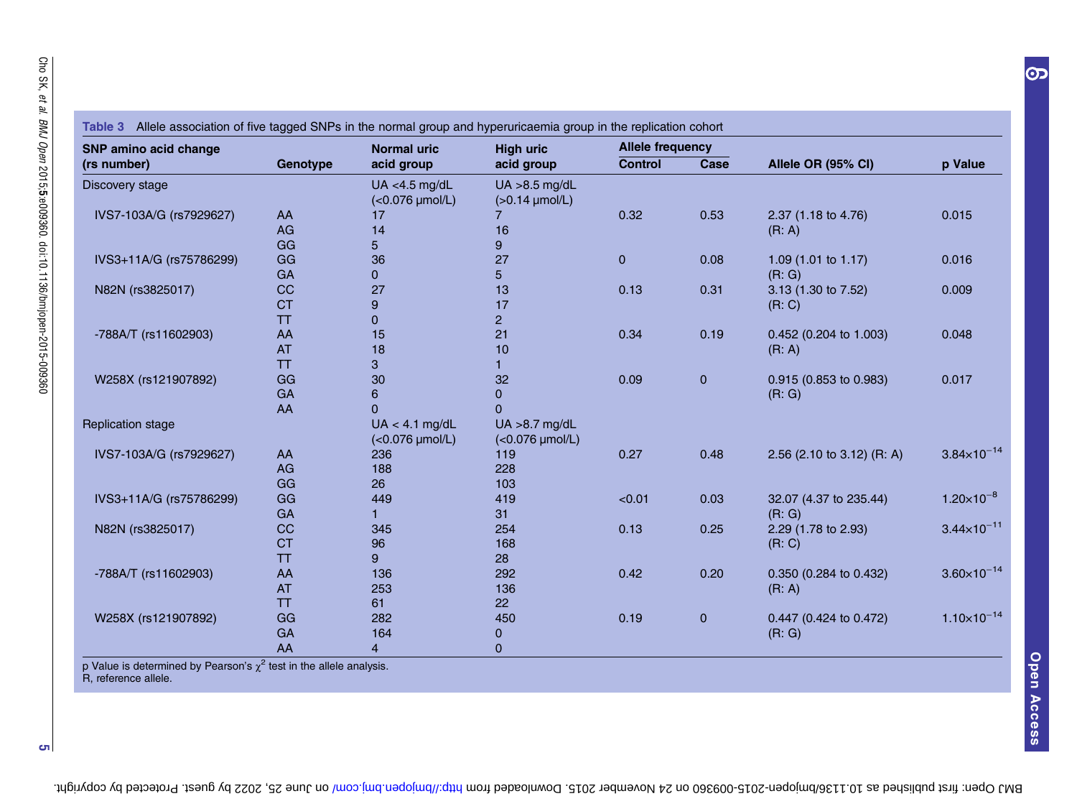<span id="page-4-0"></span>

| <b>SNP amino acid change</b> |           | <b>Normal uric</b> | <b>High uric</b>    | <b>Allele frequency</b> |             |                            |                        |
|------------------------------|-----------|--------------------|---------------------|-------------------------|-------------|----------------------------|------------------------|
| (rs number)                  | Genotype  | acid group         | acid group          | <b>Control</b>          | Case        | Allele OR (95% CI)         | p Value                |
| Discovery stage              |           | UA <4.5 $mg/dL$    | $UA > 8.5$ mg/dL    |                         |             |                            |                        |
|                              |           | (<0.076 µmol/L)    | $(>0.14 \mu mol/L)$ |                         |             |                            |                        |
| IVS7-103A/G (rs7929627)      | AA        | 17                 |                     | 0.32                    | 0.53        | 2.37 (1.18 to 4.76)        | 0.015                  |
|                              | AG        | 14                 | 16                  |                         |             | (R: A)                     |                        |
|                              | GG        | 5                  | 9                   |                         |             |                            |                        |
| IVS3+11A/G (rs75786299)      | GG        | 36                 | 27                  | $\mathbf{0}$            | 0.08        | 1.09 (1.01 to 1.17)        | 0.016                  |
|                              | GA        | $\Omega$           | 5                   |                         |             | (R: G)                     |                        |
| N82N (rs3825017)             | CC        | 27                 | 13                  | 0.13                    | 0.31        | 3.13 (1.30 to 7.52)        | 0.009                  |
|                              | <b>CT</b> | 9                  | 17                  |                         |             | (R: C)                     |                        |
|                              | <b>TT</b> | $\overline{0}$     | $\overline{c}$      |                         |             |                            |                        |
| -788A/T (rs11602903)         | AA        | 15                 | 21                  | 0.34                    | 0.19        | 0.452 (0.204 to 1.003)     | 0.048                  |
|                              | <b>AT</b> | 18                 | 10                  |                         |             | (R: A)                     |                        |
|                              | <b>TT</b> | 3                  |                     |                         |             |                            |                        |
| W258X (rs121907892)          | GG        | 30                 | 32                  | 0.09                    | $\mathbf 0$ | 0.915 (0.853 to 0.983)     | 0.017                  |
|                              | GA        | 6                  | 0                   |                         |             | (R: G)                     |                        |
|                              | AA        | $\Omega$           | 0                   |                         |             |                            |                        |
| <b>Replication stage</b>     |           | $UA < 4.1$ mg/dL   | $UA > 8.7$ mg/dL    |                         |             |                            |                        |
|                              |           | (<0.076 µmol/L)    | (<0.076 µmol/L)     |                         |             |                            |                        |
| IVS7-103A/G (rs7929627)      | AA        | 236                | 119                 | 0.27                    | 0.48        | 2.56 (2.10 to 3.12) (R: A) | $3.84 \times 10^{-14}$ |
|                              | AG        | 188                | 228                 |                         |             |                            |                        |
|                              | GG        | 26                 | 103                 |                         |             |                            |                        |
| IVS3+11A/G (rs75786299)      | GG        | 449                | 419                 | < 0.01                  | 0.03        | 32.07 (4.37 to 235.44)     | $1.20\times10^{-8}$    |
|                              | GA        |                    | 31                  |                         |             | (R: G)                     |                        |
| N82N (rs3825017)             | CC        | 345                | 254                 | 0.13                    | 0.25        | 2.29 (1.78 to 2.93)        | $3.44 \times 10^{-11}$ |
|                              | <b>CT</b> | 96                 | 168                 |                         |             | (R: C)                     |                        |
|                              | TT        | 9                  | 28                  |                         |             |                            |                        |
| -788A/T (rs11602903)         | AA        | 136                | 292                 | 0.42                    | 0.20        | 0.350 (0.284 to 0.432)     | $3.60 \times 10^{-14}$ |
|                              | <b>AT</b> | 253                | 136                 |                         |             | (R: A)                     |                        |
|                              | <b>TT</b> | 61                 | 22                  |                         |             |                            |                        |
| W258X (rs121907892)          | GG        | 282                | 450                 | 0.19                    | $\mathbf 0$ | 0.447 (0.424 to 0.472)     | $1.10\times10^{-14}$   |
|                              | GA        | 164                | 0                   |                         |             | (R: G)                     |                        |
|                              | AA        | 4                  | 0                   |                         |             |                            |                        |

p Value is determined by Pearson's  $\chi^2$  test in the allele analysis. R, reference allele.

5

 $\overline{\mathbf{O}}$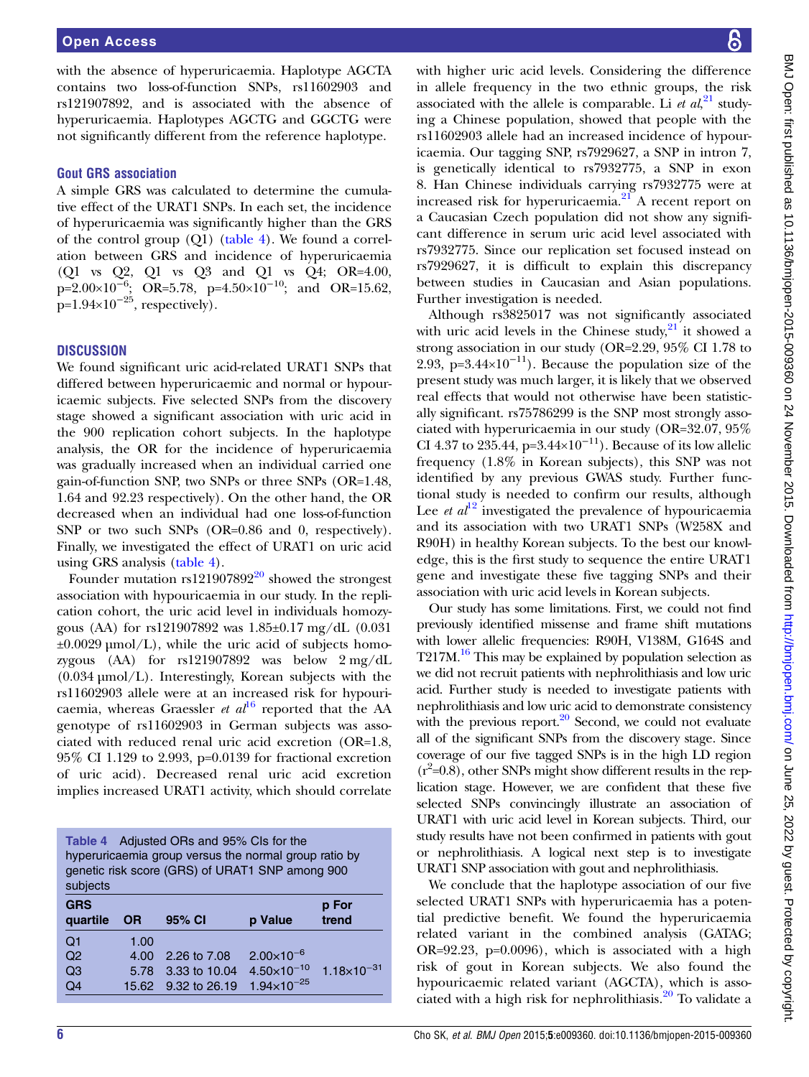with the absence of hyperuricaemia. Haplotype AGCTA contains two loss-of-function SNPs, rs11602903 and rs121907892, and is associated with the absence of hyperuricaemia. Haplotypes AGCTG and GGCTG were not significantly different from the reference haplotype.

#### Gout GRS association

A simple GRS was calculated to determine the cumulative effect of the URAT1 SNPs. In each set, the incidence of hyperuricaemia was significantly higher than the GRS of the control group (Q1) (table 4). We found a correlation between GRS and incidence of hyperuricaemia (Q1 vs Q2, Q1 vs Q3 and Q1 vs Q4; OR=4.00, p=2.00×10<sup>-6</sup>; OR=5.78, p=4.50×10<sup>-10</sup>; and OR=15.62,  $p=1.94\times10^{-25}$ , respectively).

#### **DISCUSSION**

We found significant uric acid-related URAT1 SNPs that differed between hyperuricaemic and normal or hypouricaemic subjects. Five selected SNPs from the discovery stage showed a significant association with uric acid in the 900 replication cohort subjects. In the haplotype analysis, the OR for the incidence of hyperuricaemia was gradually increased when an individual carried one gain-of-function SNP, two SNPs or three SNPs (OR=1.48, 1.64 and 92.23 respectively). On the other hand, the OR decreased when an individual had one loss-of-function SNP or two such SNPs (OR=0.86 and 0, respectively). Finally, we investigated the effect of URAT1 on uric acid using GRS analysis (table 4).

Founder mutation  $rs121907892^{20}$  $rs121907892^{20}$  $rs121907892^{20}$  showed the strongest association with hypouricaemia in our study. In the replication cohort, the uric acid level in individuals homozygous (AA) for rs121907892 was 1.85±0.17 mg/dL (0.031  $\pm 0.0029 \,\mu\text{mol/L}$ , while the uric acid of subjects homozygous (AA) for rs121907892 was below 2 mg/dL (0.034 µmol/L). Interestingly, Korean subjects with the rs11602903 allele were at an increased risk for hypouricaemia, whereas Graessler et  $al^{16}$  $al^{16}$  $al^{16}$  reported that the AA genotype of rs11602903 in German subjects was associated with reduced renal uric acid excretion (OR=1.8, 95% CI 1.129 to 2.993, p=0.0139 for fractional excretion of uric acid). Decreased renal uric acid excretion implies increased URAT1 activity, which should correlate

| Table 4 Adjusted ORs and 95% Cls for the<br>hyperuricaemia group versus the normal group ratio by<br>genetic risk score (GRS) of URAT1 SNP among 900<br>subjects |           |               |                      |                      |  |
|------------------------------------------------------------------------------------------------------------------------------------------------------------------|-----------|---------------|----------------------|----------------------|--|
| <b>GRS</b><br>quartile                                                                                                                                           | <b>OR</b> | 95% CI        | p Value              | p For<br>trend       |  |
| Q <sub>1</sub>                                                                                                                                                   | 1.00      |               |                      |                      |  |
| Q <sub>2</sub>                                                                                                                                                   | 4.00      | 2.26 to 7.08  | $2.00\times10^{-6}$  |                      |  |
| Q <sub>3</sub>                                                                                                                                                   | 5.78      | 3.33 to 10.04 | $4.50\times10^{-10}$ | $1.18\times10^{-31}$ |  |
| Q4                                                                                                                                                               | 15.62     | 9.32 to 26.19 | $1.94\times10^{-25}$ |                      |  |
|                                                                                                                                                                  |           |               |                      |                      |  |

with higher uric acid levels. Considering the difference in allele frequency in the two ethnic groups, the risk associated with the allele is comparable. Li  $et al.^{21}$  $et al.^{21}$  $et al.^{21}$  studying a Chinese population, showed that people with the rs11602903 allele had an increased incidence of hypouricaemia. Our tagging SNP, rs7929627, a SNP in intron 7, is genetically identical to rs7932775, a SNP in exon 8. Han Chinese individuals carrying rs7932775 were at increased risk for hyperuricaemia.[21](#page-6-0) A recent report on a Caucasian Czech population did not show any significant difference in serum uric acid level associated with rs7932775. Since our replication set focused instead on rs7929627, it is difficult to explain this discrepancy between studies in Caucasian and Asian populations. Further investigation is needed.

Although rs3825017 was not significantly associated with uric acid levels in the Chinese study, $21$  it showed a strong association in our study (OR=2.29, 95% CI 1.78 to 2.93, p=3.44×10<sup>-11</sup>). Because the population size of the present study was much larger, it is likely that we observed real effects that would not otherwise have been statistically significant. rs75786299 is the SNP most strongly associated with hyperuricaemia in our study (OR=32.07, 95% CI 4.37 to 235.44, p=3.44×10<sup>-11</sup>). Because of its low allelic frequency (1.8% in Korean subjects), this SNP was not identified by any previous GWAS study. Further functional study is needed to confirm our results, although Lee *et al*<sup>[12](#page-6-0)</sup> investigated the prevalence of hypouricaemia and its association with two URAT1 SNPs (W258X and R90H) in healthy Korean subjects. To the best our knowledge, this is the first study to sequence the entire URAT1 gene and investigate these five tagging SNPs and their association with uric acid levels in Korean subjects.

Our study has some limitations. First, we could not find previously identified missense and frame shift mutations with lower allelic frequencies: R90H, V138M, G164S and T217M.<sup>16</sup> This may be explained by population selection as we did not recruit patients with nephrolithiasis and low uric acid. Further study is needed to investigate patients with nephrolithiasis and low uric acid to demonstrate consistency with the previous report. $20$  Second, we could not evaluate all of the significant SNPs from the discovery stage. Since coverage of our five tagged SNPs is in the high LD region  $(r^2=0.8)$ , other SNPs might show different results in the replication stage. However, we are confident that these five selected SNPs convincingly illustrate an association of URAT1 with uric acid level in Korean subjects. Third, our study results have not been confirmed in patients with gout or nephrolithiasis. A logical next step is to investigate URAT1 SNP association with gout and nephrolithiasis.

We conclude that the haplotype association of our five selected URAT1 SNPs with hyperuricaemia has a potential predictive benefit. We found the hyperuricaemia related variant in the combined analysis (GATAG; OR=92.23, p=0.0096), which is associated with a high risk of gout in Korean subjects. We also found the hypouricaemic related variant (AGCTA), which is associated with a high risk for nephrolithiasis.<sup>20</sup> To validate a